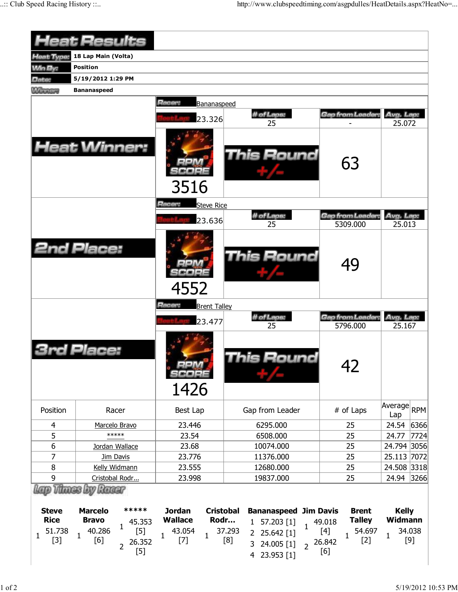|                                                                | <b>Heat Results</b>                                                                                                                         |                                                                                                                |                                                                                                       |                                                                                                                   |                                                            |
|----------------------------------------------------------------|---------------------------------------------------------------------------------------------------------------------------------------------|----------------------------------------------------------------------------------------------------------------|-------------------------------------------------------------------------------------------------------|-------------------------------------------------------------------------------------------------------------------|------------------------------------------------------------|
| Heat Type:                                                     | 18 Lap Main (Volta)                                                                                                                         |                                                                                                                |                                                                                                       |                                                                                                                   |                                                            |
| <b>Min By:</b>                                                 | <b>Position</b>                                                                                                                             |                                                                                                                |                                                                                                       |                                                                                                                   |                                                            |
| Date:                                                          | 5/19/2012 1:29 PM                                                                                                                           |                                                                                                                |                                                                                                       |                                                                                                                   |                                                            |
| <b>MAINTENANT</b>                                              | <b>Bananaspeed</b>                                                                                                                          |                                                                                                                |                                                                                                       |                                                                                                                   |                                                            |
|                                                                |                                                                                                                                             | Racer:<br>Bananaspeed                                                                                          |                                                                                                       |                                                                                                                   |                                                            |
|                                                                |                                                                                                                                             |                                                                                                                | # of Laps:                                                                                            | Gap from Leader:                                                                                                  | Avg. Lap:                                                  |
|                                                                |                                                                                                                                             | 23.326                                                                                                         | 25                                                                                                    |                                                                                                                   | 25.072                                                     |
|                                                                | <b>Heat Winner:</b>                                                                                                                         | 3516                                                                                                           | <b>This Round</b>                                                                                     | 63                                                                                                                |                                                            |
|                                                                |                                                                                                                                             | Racer:<br><b>Steve Rice</b><br>23.636                                                                          | # of Laps:                                                                                            | Gap from Leader:                                                                                                  | Avg. Lap:                                                  |
|                                                                |                                                                                                                                             |                                                                                                                | 25                                                                                                    | 5309.000                                                                                                          | 25.013                                                     |
|                                                                | <b>2nd Place:</b>                                                                                                                           | 4552                                                                                                           | <b>This Round</b>                                                                                     | 49                                                                                                                |                                                            |
|                                                                |                                                                                                                                             | Racer:<br><b>Brent Talley</b>                                                                                  |                                                                                                       |                                                                                                                   |                                                            |
|                                                                |                                                                                                                                             | 23.477                                                                                                         | # of Laps:                                                                                            | <b>Gap from Leader:</b>                                                                                           | Avg. Lap:                                                  |
|                                                                | Place:                                                                                                                                      | SCORE<br>1426                                                                                                  | 25<br>his Round                                                                                       | 5796.000<br>42                                                                                                    | 25.167                                                     |
| Position                                                       | Racer                                                                                                                                       | Best Lap                                                                                                       | Gap from Leader                                                                                       | # of Laps                                                                                                         | Average<br><b>RPM</b><br>Lap                               |
| 4                                                              | Marcelo Bravo                                                                                                                               | 23.446                                                                                                         | 6295.000                                                                                              | 25                                                                                                                | 6366<br>24.54                                              |
| 5                                                              | *****                                                                                                                                       | 23.54                                                                                                          | 6508.000                                                                                              | 25                                                                                                                | 24.77<br>7724                                              |
| 6                                                              | Jordan Wallace                                                                                                                              | 23.68                                                                                                          | 10074.000                                                                                             | 25                                                                                                                | 24.794 3056                                                |
| 7                                                              | Jim Davis                                                                                                                                   | 23.776                                                                                                         | 11376.000                                                                                             | 25                                                                                                                | 25.113 7072                                                |
| 8                                                              | Kelly Widmann                                                                                                                               | 23.555                                                                                                         | 12680.000                                                                                             | 25                                                                                                                | 24.508 3318                                                |
| 9                                                              | Cristobal Rodr                                                                                                                              | 23.998                                                                                                         | 19837.000                                                                                             | 25                                                                                                                | 24.94 3266                                                 |
| <b>Steve</b><br><b>Rice</b><br>51.738<br>$\mathbf{1}$<br>$[3]$ | Lap Thues by Rueur<br>*****<br><b>Marcelo</b><br><b>Bravo</b><br>45.353<br>$\mathbf{1}$<br>40.286<br>$[5]$<br>$\mathbf{1}$<br>[6]<br>26.352 | <b>Cristobal</b><br><b>Jordan</b><br><b>Wallace</b><br>Rodr<br>43.054<br>$\mathbf{1}$<br>$\mathbf{1}$<br>$[7]$ | <b>Bananaspeed</b><br>$1$ 57.203 $[1]$<br>$\mathbf{1}$<br>37.293<br>2 25.642 [1]<br>[8]<br>24.005 [1] | <b>Jim Davis</b><br><b>Brent</b><br><b>Talley</b><br>49.018<br>54.697<br>$[4]$<br>$\mathbf{1}$<br>$[2]$<br>26.842 | <b>Kelly</b><br>Widmann<br>34.038<br>$\mathbf{1}$<br>$[9]$ |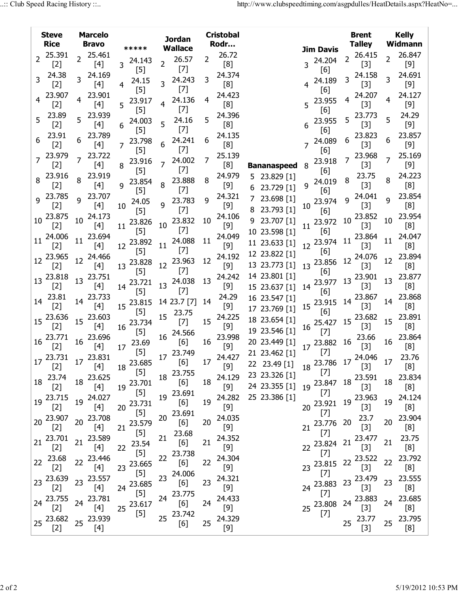|                | <b>Steve</b><br><b>Rice</b> |                | <b>Marcelo</b><br><b>Bravo</b> | *****                    |                 | <b>Jordan</b><br><b>Wallace</b> |                 | <b>Cristobal</b><br>Rodr |                                       |    |                       |                | <b>Brent</b><br><b>Talley</b>                                                                                                                                                                                                                                                                                                                                                                           |                | <b>Kelly</b><br>Widmann |
|----------------|-----------------------------|----------------|--------------------------------|--------------------------|-----------------|---------------------------------|-----------------|--------------------------|---------------------------------------|----|-----------------------|----------------|---------------------------------------------------------------------------------------------------------------------------------------------------------------------------------------------------------------------------------------------------------------------------------------------------------------------------------------------------------------------------------------------------------|----------------|-------------------------|
| $\overline{2}$ | 25.391                      | $\overline{2}$ | 25.461                         |                          |                 |                                 | $\overline{2}$  | 26.72                    |                                       |    | <b>Jim Davis</b>      | 2 <sup>1</sup> | 26.415                                                                                                                                                                                                                                                                                                                                                                                                  | $\overline{2}$ | 26.847                  |
|                | $[2]$                       |                | [4]                            | 24.143<br>$\overline{3}$ | $\overline{2}$  | 26.57<br>$[7]$                  |                 | [8]                      |                                       |    | 3 24.204              |                | $[3]$                                                                                                                                                                                                                                                                                                                                                                                                   |                | $[9]$                   |
| 3              | 24.38                       |                | 24.169                         | $[5]$                    |                 | 24.243                          | 3.              | 24.374                   |                                       |    | [6]                   |                | 24.158                                                                                                                                                                                                                                                                                                                                                                                                  | 3              | 24.691                  |
|                | $[2]$                       |                | [4]                            | 24.15<br>4<br>$[5]$      |                 | $[7]$                           |                 | [8]                      |                                       |    | 24.189<br>[6]         |                | $[3]$                                                                                                                                                                                                                                                                                                                                                                                                   |                | $[9]$                   |
|                | 23.907                      | $\overline{4}$ | 23.901                         | 23.917                   |                 | 24.136                          | 4               | 24.423                   |                                       |    | 5 23.955              | 4              | 24.207                                                                                                                                                                                                                                                                                                                                                                                                  | 4              | 24.127                  |
|                | $[2]$                       |                | [4]                            | 5<br>$[5]$               | 4               | $[7]$                           |                 | [8]                      |                                       |    | [6]                   |                | $[3]$                                                                                                                                                                                                                                                                                                                                                                                                   |                | $[9]$                   |
| 5              | 23.89                       | 5              | 23.939                         | 24.003                   |                 | 24.16                           | 5               | 24.396                   |                                       |    | 23.955                |                | 23.773                                                                                                                                                                                                                                                                                                                                                                                                  | 5              | 24.29                   |
|                | $[2]$                       |                | [4]                            | 6<br>$[5]$               | 5               | $[7]$                           |                 | [8]                      |                                       |    | [6]                   |                | $[3]$                                                                                                                                                                                                                                                                                                                                                                                                   |                | $[9]$                   |
| 6              | 23.91                       |                | 23.789                         | 23.798<br>7              | 6               | 24.241                          | 6               | 24.135<br>[8]            |                                       |    | 24.089                | 6              | 23.823                                                                                                                                                                                                                                                                                                                                                                                                  | 6              | 23.857<br>$[9]$         |
|                | $[2]$<br>23.979             |                | [4]<br>23.722                  | $[5]$                    |                 | $[7]$                           |                 | 25.139                   |                                       |    | [6]                   |                | $[3]$<br>23.968                                                                                                                                                                                                                                                                                                                                                                                         |                | 25.169                  |
|                | $[2]$                       |                | [4]                            | 23.916<br>8              |                 | 24.002                          | 7               | [8]                      | <b>Bananaspeed</b>                    | 8  | 23.918                |                | $[3]$                                                                                                                                                                                                                                                                                                                                                                                                   | 7              | $[9]$                   |
|                | 23.916                      |                | 23.919                         | [5]                      |                 | $[7]$                           |                 | 24.979                   | 5 23.829 [1]                          |    | [6]                   |                | 23.75                                                                                                                                                                                                                                                                                                                                                                                                   |                | 24.223                  |
|                | $[2]$                       | 8              | [4]                            | 23.854<br>9              | 8               | 23.888                          | 8               | $[9]$                    | 23.729 [1]<br>6                       |    | 9 24.019              | 8              | $[3]$                                                                                                                                                                                                                                                                                                                                                                                                   | 8              | [8]                     |
|                | 9 23.785                    | q              | 23.707                         | [5]                      |                 | $[7]$                           |                 | 24.321                   | 23.698 [1]                            |    | [6]                   | q              | 24.041                                                                                                                                                                                                                                                                                                                                                                                                  | q              | 23.854                  |
|                | $[2]$                       |                | [4]                            | 24.05<br>10              | q               | 23.783<br>$[7]$                 | q               | $[9]$                    | 8 23.793 [1]                          | 10 | 23.974                |                | $[3]$                                                                                                                                                                                                                                                                                                                                                                                                   |                | [8]                     |
| 10             | 23.875                      | 10             | 24.173                         | $[5]$                    |                 |                                 | 10              | 24.106                   | 9 23.707 [1]                          |    | [6]                   | 10             | 23.852                                                                                                                                                                                                                                                                                                                                                                                                  | 10             | 23.954                  |
|                | $[2]$                       |                | [4]                            | 23.826<br>11<br>[5]      |                 | 10 23.832<br>$[7]$              |                 | $[9]$                    | 10 23.598 [1]                         |    | $11^{23.972}$<br>[6]  |                | $[3]$                                                                                                                                                                                                                                                                                                                                                                                                   |                | [8]                     |
| 11             | 24.006                      | 11             | 23.694                         | 23.892                   |                 | 24.088                          | 11              | 24.049                   | 11 23.633 [1]                         |    | 12 23.974             | 11             | 23.864                                                                                                                                                                                                                                                                                                                                                                                                  | 11             | 24.047                  |
|                | $[2]$                       |                | [4]                            | 12<br>$[5]$              | 11              | $[7]$                           |                 | $[9]$                    | 12 23.822 [1]                         |    | [6]                   |                | $[3]$                                                                                                                                                                                                                                                                                                                                                                                                   |                | [8]                     |
|                | 12 23.965                   |                | 12 24.466                      | 23.828                   | 12              | 23.963                          | 12              | 24.192                   | 13 23.773 [1]                         |    | 13 23.856             | 12             | 24.076                                                                                                                                                                                                                                                                                                                                                                                                  | 12             | 23.894                  |
|                | $[2]$                       |                | [4]                            | 13<br>[5]                |                 | $[7]$                           |                 | $[9]$<br>24.242          | 14 23.801 [1]                         |    | [6]                   |                | $[3]$                                                                                                                                                                                                                                                                                                                                                                                                   |                | [8]<br>23.877           |
|                | 13 23.818<br>$[2]$          | 13             | 23.751<br>[4]                  | 23.721<br>14             |                 | 13 24.038                       | 13              | $[9]$                    | 15 23.637 [1]                         | 14 | 23.977                | 13             | 23.901<br>$[3]$                                                                                                                                                                                                                                                                                                                                                                                         | 13             | [8]                     |
|                | 23.81                       |                | 23.733                         | $[5]$                    |                 | $[7]$                           |                 | 24.29                    | 16 23.547 [1]                         |    | [6]                   |                | 23.867                                                                                                                                                                                                                                                                                                                                                                                                  |                | 23.868                  |
| 14             | $[2]$                       | 14             | $[4]$                          | 23.815<br>15             |                 | 14 23.7 [7]                     | 14              | $[9]$                    | 17 23.769 [1]                         |    | 15 23.915             | 14             | $[3]$                                                                                                                                                                                                                                                                                                                                                                                                   | 14             | [8]                     |
|                | 15 23.636                   |                | 23.603                         | $[5]$                    | 15              | 23.75                           |                 | 24.225                   | 18 23.654 [1]                         |    | [6]                   |                | 23.682                                                                                                                                                                                                                                                                                                                                                                                                  |                | 23.891                  |
|                | $[2]$                       | 15             | [4]                            | 23.734<br>16             |                 | $[7]$                           | 15              | [9]                      | 19 23.546 [1]                         | 16 | 25.427                | 15             | $[3]$                                                                                                                                                                                                                                                                                                                                                                                                   | 15             | [8]                     |
|                | $16\frac{23.771}{1}$        | 16             | 23.696                         | $[5]$                    | 16              | 24.566                          | 16              | 23.998                   | 20 23.449 [1]                         |    | $[7]$                 |                | 23.66                                                                                                                                                                                                                                                                                                                                                                                                   | 16             | 23.864                  |
|                | $[2]$                       |                | $[4]$                          | 23.69<br>17<br>$[5]$     |                 | [6]                             |                 | $[9]$                    | 21 23.462 [1]                         |    | 17 23.882 16<br>$[7]$ |                | $[3]$                                                                                                                                                                                                                                                                                                                                                                                                   |                | [8]                     |
|                | 17 23.731 17 23.831         |                |                                | 18 23.685                |                 | 17 <sup>23.749</sup><br>[6]     | 17              | 24.427                   |                                       |    |                       |                | $18\begin{array}{@{}c@{\hspace{1em}}c@{\hspace{1em}}c@{\hspace{1em}}}\n 13.786 & 17\begin{array}{@{}c@{\hspace{1em}}c@{\hspace{1em}}c@{\hspace{1em}}c@{\hspace{1em}}c@{\hspace{1em}}c@{\hspace{1em}}c@{\hspace{1em}}c@{\hspace{1em}}c@{\hspace{1em}}c@{\hspace{1em}}c@{\hspace{1em}}c@{\hspace{1em}}c@{\hspace{1em}}c@{\hspace{1em}}c@{\hspace{1em}}c@{\hspace{1em}}c@{\hspace{1em}}c@{\hspace{1em}}c@$ |                | 23.76                   |
|                | $[2]$                       |                | $\ddot{\hspace{1cm}}$ [4]      | $[5]$                    |                 | 18 23.755                       |                 | [9]                      | 22 23.49 [1]                          |    | $[7]$                 |                | $\ddot{\phantom{a}}$ [3]                                                                                                                                                                                                                                                                                                                                                                                |                | [8]                     |
|                | 18 23.74                    |                | 18 23.625                      | 19 23.701                |                 | $[6]$                           | 18              |                          | 24.129 23 23.326 [1]<br>24 23.355 [1] |    |                       |                | 19 23.847 18 23.591                                                                                                                                                                                                                                                                                                                                                                                     |                | 18 23.834               |
|                | $[2]$                       |                | $[4]$                          | $[5]$                    |                 | 19 23.691                       |                 | [9]                      | 25 23.386 [1]                         |    | $[7]$                 |                |                                                                                                                                                                                                                                                                                                                                                                                                         |                | [8]                     |
|                | 19 23.715<br>$[2]$          |                | 19 24.027<br>$[4]$             | 23.731<br>20             |                 | [6]                             | 19              | 24.282<br>[9]            |                                       |    | 20 23.921             |                | 19 23.963<br>$[3]$                                                                                                                                                                                                                                                                                                                                                                                      |                | 19 24.124<br>[8]        |
|                | 20 23.907                   |                | 20 23.708                      | $[5]$                    | 20 <sub>2</sub> | 23.691                          |                 | 24.035                   |                                       |    | $[7]$                 |                | 23.7                                                                                                                                                                                                                                                                                                                                                                                                    |                | 20 23.904               |
|                | $[2]$                       |                | [4]                            | 23.579<br>21             |                 | [6]                             | 20 <sub>2</sub> | $[9]$                    |                                       | 21 | 23.776 20             |                | $[3]$                                                                                                                                                                                                                                                                                                                                                                                                   |                | [8]                     |
|                | 21 23.701                   |                | 21 23.589                      | $[5]$                    | 21              | 23.68                           |                 | 24.352                   |                                       |    | $[7]$                 |                | 23.477                                                                                                                                                                                                                                                                                                                                                                                                  |                | 23.75                   |
|                | $[2]$                       |                | [4]                            | 22 23.54                 |                 | [6]                             | 21              | [9]                      |                                       |    | 22 23.824 21          |                | $[3]$                                                                                                                                                                                                                                                                                                                                                                                                   | 21             | [8]                     |
|                | $22 \t 23.68$               |                | 22 23.446                      | $[5]$                    |                 | 22 23.738                       | 22              | 24.304                   |                                       |    | $[7]$                 | 22             | 23.522                                                                                                                                                                                                                                                                                                                                                                                                  | 22             | 23.792                  |
|                | $[2]$                       |                | $[4]$                          | 23 23.665<br>$[5]$       |                 | [6]                             |                 | $[9]$                    |                                       |    | 23 23.815<br>$[7]$    |                | $[3]$                                                                                                                                                                                                                                                                                                                                                                                                   |                | [8]                     |
|                | 23 23.639                   |                | 23 23.557                      | 23.685                   |                 | 23 24.006<br>[6]                | 23              | 24.321                   |                                       |    | 24 23.883             |                | 23 23.479                                                                                                                                                                                                                                                                                                                                                                                               | 23             | 23.555                  |
|                | $[2]$                       |                | [4]                            | 24<br>$[5]$              |                 | 23.775                          |                 | $[9]$                    |                                       |    | $[7]$                 |                | $[3]$                                                                                                                                                                                                                                                                                                                                                                                                   |                | [8]                     |
|                | 24 23.755                   |                | 24 23.781                      | 25 23.617                | 24              | $[6]$                           | 24              | 24.433                   |                                       |    | 25 23.808 24 23.883   |                |                                                                                                                                                                                                                                                                                                                                                                                                         | 24             | 23.685                  |
|                | $[2]$                       |                | $[4]$                          | $[5]$                    |                 | 25 23.742                       |                 | $[9]$<br>24.329          |                                       |    | $[7]$                 |                |                                                                                                                                                                                                                                                                                                                                                                                                         |                | [8]                     |
|                | 25 23.682<br>$[2]$          |                | 25 23.939<br>$[4]$             |                          |                 | [6]                             | 25              | $[9]$                    |                                       |    |                       |                | 25 23.77<br>$[3]$                                                                                                                                                                                                                                                                                                                                                                                       |                | 25 23.795<br>[8]        |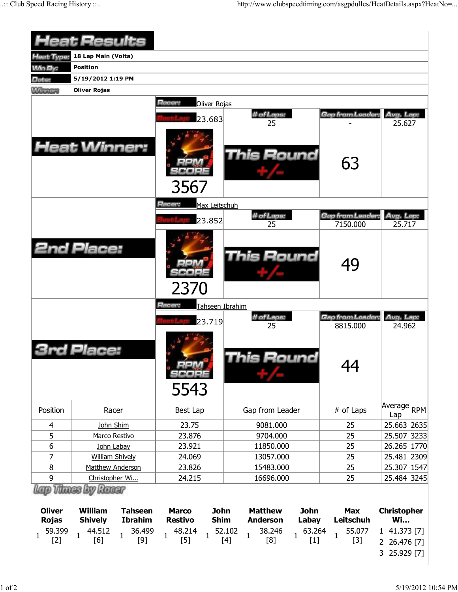|                                                         | <b>Heat Results</b>                                                                                                 |                                                                        |                                                                                         |                                                          |                                                 |
|---------------------------------------------------------|---------------------------------------------------------------------------------------------------------------------|------------------------------------------------------------------------|-----------------------------------------------------------------------------------------|----------------------------------------------------------|-------------------------------------------------|
| <b>Heat Type:</b>                                       | 18 Lap Main (Volta)                                                                                                 |                                                                        |                                                                                         |                                                          |                                                 |
| <b>Min By:</b>                                          | <b>Position</b>                                                                                                     |                                                                        |                                                                                         |                                                          |                                                 |
| Date:                                                   | 5/19/2012 1:19 PM                                                                                                   |                                                                        |                                                                                         |                                                          |                                                 |
| <b>Winnipeg</b>                                         | <b>Oliver Rojas</b>                                                                                                 |                                                                        |                                                                                         |                                                          |                                                 |
|                                                         |                                                                                                                     |                                                                        |                                                                                         |                                                          |                                                 |
|                                                         |                                                                                                                     | Racer:<br>Oliver Rojas                                                 |                                                                                         |                                                          |                                                 |
|                                                         |                                                                                                                     | 23.683                                                                 | # of Laps:<br>25                                                                        | Gap from Leader:                                         | Avg. Lap:<br>25.627                             |
|                                                         |                                                                                                                     |                                                                        |                                                                                         |                                                          |                                                 |
|                                                         | <b>Heat Winner:</b>                                                                                                 |                                                                        | <b>This Round</b>                                                                       | 63                                                       |                                                 |
|                                                         |                                                                                                                     | 3567<br>Racer:<br>Max Leitschuh                                        |                                                                                         |                                                          |                                                 |
|                                                         |                                                                                                                     | 23.852                                                                 | # of Laps:                                                                              | Gap from Leader:                                         | Avg. Lap:                                       |
|                                                         |                                                                                                                     |                                                                        | 25                                                                                      | 7150.000                                                 | 25.717                                          |
|                                                         | <b>2nd Place:</b>                                                                                                   | 2370                                                                   | This Round                                                                              | 49                                                       |                                                 |
|                                                         |                                                                                                                     | Racer:<br>Tahseen Ibrahim                                              |                                                                                         |                                                          |                                                 |
|                                                         |                                                                                                                     | 23.719                                                                 | # of Laps:                                                                              | Gap from Leader:                                         | Avg. Lap:<br>24.962                             |
|                                                         | d Place:                                                                                                            | SCOPE<br>5543                                                          | 25<br>his Round                                                                         | 8815.000<br>44                                           |                                                 |
| Position                                                | Racer                                                                                                               | Best Lap                                                               | Gap from Leader                                                                         | # of Laps                                                | Average RPM<br>Lap                              |
| 4                                                       | John Shim                                                                                                           | 23.75                                                                  | 9081.000                                                                                | 25                                                       | 25.663 2635                                     |
| 5                                                       | Marco Restivo                                                                                                       | 23.876                                                                 | 9704.000                                                                                | 25                                                       | 25.507 3233                                     |
| 6                                                       | John Labay                                                                                                          | 23.921                                                                 | 11850.000                                                                               | 25                                                       | 26.265 1770                                     |
| $\overline{7}$                                          | <b>William Shively</b>                                                                                              | 24.069                                                                 | 13057.000                                                                               | 25                                                       | 25.481 2309                                     |
| 8                                                       | Matthew Anderson                                                                                                    | 23.826                                                                 | 15483.000                                                                               | 25                                                       | 25.307 1547                                     |
| 9                                                       | Christopher Wi                                                                                                      | 24.215                                                                 | 16696.000                                                                               | 25                                                       | 25.484 3245                                     |
| <b>Oliver</b><br><b>Rojas</b><br>59.399<br>$\mathbf{1}$ | Lano Vitanes Loy Ranaer<br><b>William</b><br><b>Tahseen</b><br><b>Shively</b><br><b>Ibrahim</b><br>44.512<br>36.499 | <b>John</b><br><b>Marco</b><br><b>Restivo</b><br><b>Shim</b><br>48.214 | <b>John</b><br><b>Matthew</b><br><b>Anderson</b><br>Labay<br>52.102<br>38.246<br>63.264 | <b>Max</b><br><b>Leitschuh</b><br>55.077<br>$\mathbf{1}$ | <b>Christopher</b><br><b>Wi</b><br>1 41.373 [7] |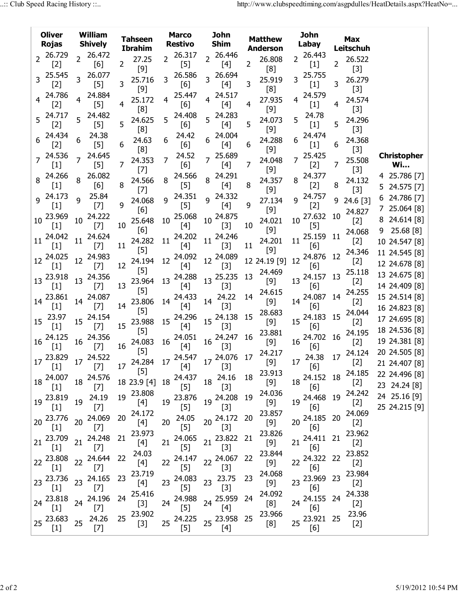|                | <b>Oliver</b><br><b>Rojas</b> | William<br><b>Tahseen</b><br><b>Shively</b><br><b>Ibrahim</b> |                      | <b>Marco</b><br>John<br><b>Shim</b><br><b>Restivo</b> |                                                                                                                                                 |    | <b>Matthew</b><br><b>Anderson</b> | <b>John</b><br>Labay | <b>Max</b><br>Leitschuh |    |                 |    |                     |    |                 |   |                                 |
|----------------|-------------------------------|---------------------------------------------------------------|----------------------|-------------------------------------------------------|-------------------------------------------------------------------------------------------------------------------------------------------------|----|-----------------------------------|----------------------|-------------------------|----|-----------------|----|---------------------|----|-----------------|---|---------------------------------|
|                | 2 26.729                      | $\overline{2}$                                                | 26.472               |                                                       | 27.25                                                                                                                                           | 2  | 26.317                            | $\overline{2}$       | 26.446                  |    | 26.808          | 2  | 26.443              |    | 26.522          |   |                                 |
|                | $[2]$<br>25.545               |                                                               | [6]<br>26.077        | $\overline{2}$                                        | $[9]$                                                                                                                                           |    | $[5]$<br>26.586                   |                      | $[4]$<br>26.694         | 2  | [8]             |    | $[1]$<br>25.755     | 2  | $[3]$           |   |                                 |
| $\overline{3}$ | $[2]$                         | 3                                                             | $[5]$                | 3                                                     | 25.716                                                                                                                                          | 3  | [6]                               | $\overline{3}$       | $[4]$                   | 3  | 25.919          | 3  | $[1]$               | 3  | 26.279          |   |                                 |
|                | 24.786                        |                                                               | 24.884               |                                                       | $[9]$<br>25.172                                                                                                                                 | 4  | 25.447                            | 4                    | 24.517                  |    | [8]<br>27.935   | 4  | 24.579              |    | $[3]$<br>24.574 |   |                                 |
|                | $[2]$                         |                                                               | $[5]$                | 4                                                     | [8]                                                                                                                                             |    | [6]                               |                      | [4]                     | 4  | $[9]$           |    | $[1]$               | 4  | $[3]$           |   |                                 |
|                | 5 24.717<br>$[2]$             |                                                               | 24.482<br>$[5]$      | 5.                                                    | 24.625                                                                                                                                          | 5  | 24.408<br>[6]                     | 5                    | 24.283<br>$[4]$         | 5  | 24.073          | 5  | 24.78<br>$[1]$      | 5  | 24.296          |   |                                 |
|                | 24.434                        | 6                                                             | 24.38                |                                                       | [8]<br>24.63                                                                                                                                    | 6  | 24.42                             | 6                    | 24.004                  |    | $[9]$<br>24.288 | 6  | 24.474              |    | $[3]$<br>24.368 |   |                                 |
|                | $[2]$                         |                                                               | $[5]$                | 6                                                     | [8]                                                                                                                                             |    | [6]                               |                      | $[4]$                   | 6  | $[9]$           |    | $[1]$               | 6  | $[3]$           |   |                                 |
|                | 24.536<br>$[1]$               |                                                               | 24.645<br>$[5]$      | 7                                                     | 24.353                                                                                                                                          | 7  | 24.52<br>[6]                      | $\overline{7}$       | 25.689<br>$[4]$         | 7  | 24.048          |    | 25.425<br>$[2]$     | 7  | 25.508          |   | <b>Christopher</b><br><b>Wi</b> |
|                | 24.266                        |                                                               | 26.082               |                                                       | $[7]$                                                                                                                                           |    | 24.566                            |                      | 24.291                  |    | $[9]$           |    | 24.377              |    | $[3]$           |   | 4 25.786 [7]                    |
|                | $[1]$                         |                                                               | [6]                  | 8                                                     | 24.566<br>$[7]$                                                                                                                                 | 8  | $[5]$                             | 8                    | [4]                     | 8  | 24.357<br>$[9]$ | 8  | $[2]$               | 8  | 24.132<br>$[3]$ |   | 5 24.575 [7]                    |
|                | 9 24.173                      | q                                                             | 25.84                |                                                       | 24.068                                                                                                                                          | q  | 24.351                            | Q                    | 24.332                  |    | 27.134          | q  | 24.757              | 9  | 24.6 [3]        |   | 6 24.786 [7]                    |
|                | $[1]$                         |                                                               | $[7]$                | 9                                                     | [6]                                                                                                                                             |    | $[5]$                             |                      | [4]                     | 9  | $[9]$           |    | $[2]$               |    | 24.827          |   | 725.064 [8]                     |
| 10             | 23.969<br>$[1]$               | 10                                                            | 24.222<br>$[7]$      | 10                                                    | 25.648                                                                                                                                          | 10 | 25.068<br>$[4]$                   | 10                   | 24.875<br>$[3]$         | 10 | 24.021          | 10 | 27.632<br>$[5]$     | 10 | $[2]$           |   | 8 24.614 [8]                    |
|                | 24.042                        |                                                               | 24.624               |                                                       | [6]                                                                                                                                             |    | 24.202                            |                      | 24.246                  |    | [9]             |    | 25.159              | 11 | 24.068          | 9 | 25.68 [8]                       |
| 11             | $[1]$                         | 11                                                            | $[7]$                | 11                                                    | 24.282<br>$[5]$                                                                                                                                 | 11 | $[4]$                             | 11                   | $[3]$                   | 11 | 24.201<br>$[9]$ | 11 | [6]                 |    | $[2]$           |   | 10 24.547 [8]                   |
|                | 12 24.025                     | 12                                                            | 24.983               |                                                       | 24.194                                                                                                                                          | 12 | 24.092                            | 12                   | 24.089                  |    | 12 24.19 [9]    | 12 | 24.876              | 12 | 24.346<br>$[2]$ |   | 11 24.545 [8]                   |
|                | $[1]$                         |                                                               | $[7]$                | 12                                                    | $[5]$                                                                                                                                           |    | $[4]$                             |                      | $[3]$                   |    | 24.469          |    | [6]                 |    | 25.118          |   | 12 24.678 [8]<br>13 24.675 [8]  |
|                | 13 23.918<br>$[1]$            | 13                                                            | 24.356<br>$[7]$      | 13                                                    | 23.964                                                                                                                                          | 13 | 24.288<br>$[4]$                   | 13                   | 25.235<br>$[3]$         | 13 | $[9]$           |    | 13 24.157<br>[6]    | 13 | $[2]$           |   | 14 24.409 [8]                   |
|                | 23.861                        |                                                               | 24.087               |                                                       | $[5]$                                                                                                                                           |    | 24.433                            |                      | 24.22                   | 14 | 24.615          |    | 24.087              | 14 | 24.255          |   | 15 24.514 [8]                   |
| 14             | $[1]$                         | 14                                                            | $[7]$                | 14                                                    | 23.806<br>$[5]$                                                                                                                                 | 14 | $[4]$                             | 14                   | $[3]$                   |    | [9]<br>28.683   | 14 | [6]                 |    | $[2]$<br>24.044 |   | 16 24.823 [8]                   |
| 15             | 23.97                         | 15                                                            | 24.154               |                                                       | 23.988                                                                                                                                          | 15 | 24.296                            |                      | 15 24.138               | 15 | [9]             |    | 15 24.183           | 15 | $[2]$           |   | 17 24.695 [8]                   |
|                | $[1]$<br>24.125               |                                                               | $[7]$<br>24.356      | 15                                                    | $[5]$                                                                                                                                           |    | $[4]$                             |                      | $[3]$                   | 16 | 23.881          |    | [6]                 |    | 24.195          |   | 18 24.536 [8]                   |
| $16\,$         | $[1]$                         | 16                                                            | $[7]$                | 16                                                    | 24.083                                                                                                                                          | 16 | 24.051<br>$[4]$                   | 16                   | 24.247<br>$[3]$         |    | $[9]$           | 16 | 24.702 16<br>[6]    |    | $[2]$           |   | 19 24.381 [8]                   |
|                | 17 23.829 17 24.522           |                                                               |                      |                                                       | $[5]$<br>$\begin{array}{ccc} 24.284 & 17 \end{array}$ $\begin{array}{ccc} 24.547 & 17 \end{array}$ $\begin{array}{ccc} 24.076 & 17 \end{array}$ |    |                                   |                      |                         |    | 24.217          |    | 24.38 17            |    | 24.124          |   | 20 24.505 [8]                   |
|                | $[1]$                         |                                                               | $^{\sim}$ [7]        |                                                       | $[5]$                                                                                                                                           |    | $[4]$                             |                      | $\frac{1}{2}$ [3]       |    | $[9]$<br>23.913 | 17 | [6]                 |    | $[2]$<br>24.185 |   | 21 24.407 [8]                   |
|                | 18 24.007                     |                                                               | 18 24.576            |                                                       | 18 23.9 [4]                                                                                                                                     |    | 18 24.437                         |                      | 18 24.16                | 18 |                 |    | 18 24.152 18        |    | [2]             |   | 22 24.496 [8]<br>23 24.24 [8]   |
|                | $[1]$                         |                                                               | $[7]$                | 19                                                    | 23.808                                                                                                                                          |    | $[5]$<br>23.876                   |                      | $[3]$                   | 19 | 24.036          |    | [6]<br>19 24.468 19 |    | 24.242          |   | 24 25.16 [9]                    |
|                | 19 23.819<br>$[1]$            |                                                               | 19 24.19<br>$[7]$    |                                                       | [4]                                                                                                                                             | 19 | $[5]$                             |                      | 19 24.208<br>$[3]$      |    | $[9]$           |    | [6]                 |    | $[2]$           |   | 25 24.215 [9]                   |
|                | 20 23.776                     |                                                               | 20 24.069            | 20 <sub>2</sub>                                       | 24.172                                                                                                                                          |    | 20 24.05                          |                      | 20 24.172 20            |    | 23.857<br>$[9]$ |    | 20 24.185 20        |    | 24.069<br>$[2]$ |   |                                 |
|                | $[1]$                         |                                                               | $[7]$                |                                                       | $[4]$<br>23.973                                                                                                                                 |    | $[5]$                             |                      | $[3]$                   |    | 23.826          |    | [6]                 |    | 23.962          |   |                                 |
|                | 21 23.709                     |                                                               | 21 24.248            | 21                                                    | $[4]$                                                                                                                                           | 21 | 24.065                            |                      | 21 23.822               | 21 | $[9]$           | 21 | 24.411 21           |    | $[2]$           |   |                                 |
|                | $[1]$<br>22 23.808            |                                                               | $[7]$<br>22 24.644   | 22                                                    | 24.03                                                                                                                                           |    | $[5]$<br>$22^{24.147}$            |                      | $[3]$<br>22 24.067      | 22 | 23.844          |    | [6]<br>22 24.322 22 |    | 23.852          |   |                                 |
|                | $[1]$                         |                                                               | $[7]$                |                                                       | $[4]$                                                                                                                                           |    | $[5]$                             |                      | $[3]$                   |    |                 |    | [6]                 |    | $[2]$           |   |                                 |
|                | 23 23.736                     |                                                               | $23 \frac{24.165}{}$ | 23                                                    | 23.719<br>$[4]$                                                                                                                                 |    | 23 24.083                         |                      | 23 23.75                | 23 | 24.068<br>$[9]$ |    | 23 23.969 23        |    | 23.984<br>$[2]$ |   |                                 |
|                | $[1]$                         |                                                               | $[7]$                |                                                       | 25.416                                                                                                                                          |    | $[5]$                             |                      | $[3]$                   |    | 24.092          |    | [6]                 |    | 24.338          |   |                                 |
|                | 24 23.818<br>$[1]$            |                                                               | 24 24.196<br>$[7]$   | 24                                                    | $[3]$                                                                                                                                           |    | 24 24.988<br>$[5]$                |                      | 24 25.959<br>$[4]$      | 24 | [8]             |    | 24 24.155 24<br>[6] |    | $[2]$           |   |                                 |
|                | 25 23.683                     |                                                               | 24.26                | 25                                                    | 23.902                                                                                                                                          |    | 24.225                            |                      | 25 23.958               | 25 | 23.966          |    | 25 23.921 25        |    | 23.96           |   |                                 |
|                | $[1]$                         | 25                                                            | $[7]$                |                                                       | $[3]$                                                                                                                                           | 25 | $[5]$                             |                      | $[4]$                   |    | [8]             |    | [6]                 |    | $[2]$           |   |                                 |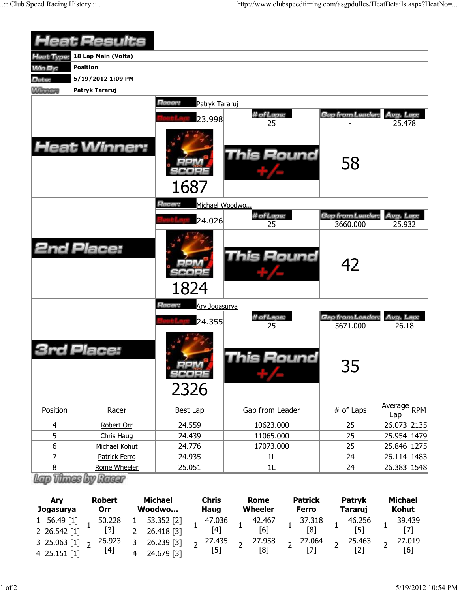|                | <b>Heat Results</b> |                                            |                                       |                         |                       |
|----------------|---------------------|--------------------------------------------|---------------------------------------|-------------------------|-----------------------|
| Heat Type:     | 18 Lap Main (Volta) |                                            |                                       |                         |                       |
| <b>Win By:</b> | <b>Position</b>     |                                            |                                       |                         |                       |
| Date:          | 5/19/2012 1:09 PM   |                                            |                                       |                         |                       |
| <b>Winning</b> | Patryk Tararuj      |                                            |                                       |                         |                       |
|                | <b>Heat Winner:</b> | Racer:<br>Patryk Tararuj<br>23.998<br>1687 | # of Laps:<br>25<br><b>This Round</b> | Gap from Leader:<br>58  | Avg. Lap:<br>25.478   |
|                |                     | Racer:<br>Michael Woodwo<br>24.026         | # of Laps:                            | Gap from Leader:        | Avg. Lap:             |
|                | <b>2nd Place:</b>   | 1824                                       | 25<br><b>This Round</b>               | 3660.000<br>42          | 25.932                |
|                |                     | Racer:<br>Ary Jogasurya<br>24.355          | # of Laps:                            | <b>Gap from Leader:</b> | Avg. Lap:             |
|                |                     |                                            | 25                                    | 5671.000                | 26.18                 |
|                | Place:              | scoee<br>2326                              | his Round                             | 35                      |                       |
| Position       | Racer               | Best Lap                                   | Gap from Leader                       | # of Laps               | Average<br>RPM<br>Lap |
| 4              | Robert Orr          | 24.559                                     | 10623.000                             | 25                      | 26.073 2135           |
| 5              | Chris Haug          | 24.439                                     | 11065.000                             | 25                      | 25.954 1479           |
| $6\,$          | Michael Kohut       | 24.776                                     | 17073.000                             | 25                      | 25.846 1275           |
| 7              | Patrick Ferro       | 24.935                                     | 1 <sub>L</sub>                        | 24                      | 26.114 1483           |
| 8              | Rome Wheeler        | 25.051                                     | 1L                                    | 24                      | 26.383 1548           |
|                | Lap Thues by Racer  |                                            |                                       |                         |                       |